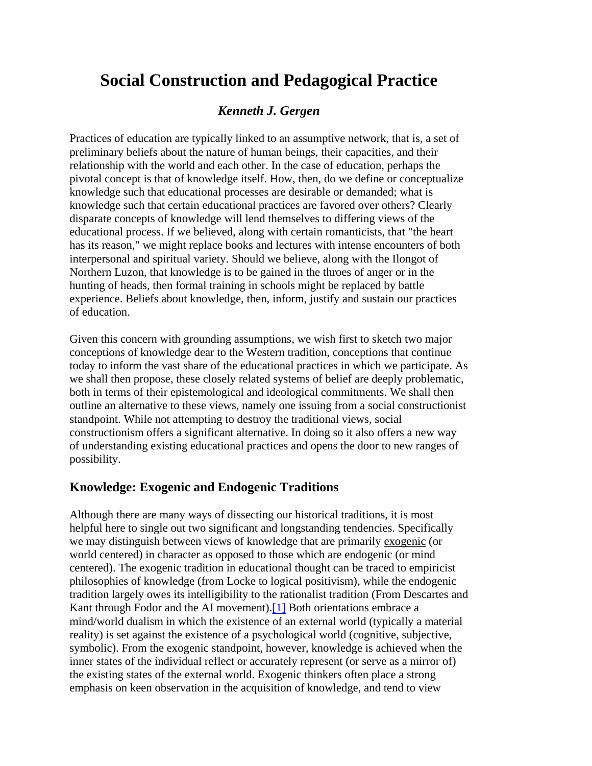# **Social Construction and Pedagogical Practice**

## *Kenneth J. Gergen*

Practices of education are typically linked to an assumptive network, that is, a set of preliminary beliefs about the nature of human beings, their capacities, and their relationship with the world and each other. In the case of education, perhaps the pivotal concept is that of knowledge itself. How, then, do we define or conceptualize knowledge such that educational processes are desirable or demanded; what is knowledge such that certain educational practices are favored over others? Clearly disparate concepts of knowledge will lend themselves to differing views of the educational process. If we believed, along with certain romanticists, that "the heart has its reason," we might replace books and lectures with intense encounters of both interpersonal and spiritual variety. Should we believe, along with the Ilongot of Northern Luzon, that knowledge is to be gained in the throes of anger or in the hunting of heads, then formal training in schools might be replaced by battle experience. Beliefs about knowledge, then, inform, justify and sustain our practices of education.

Given this concern with grounding assumptions, we wish first to sketch two major conceptions of knowledge dear to the Western tradition, conceptions that continue today to inform the vast share of the educational practices in which we participate. As we shall then propose, these closely related systems of belief are deeply problematic, both in terms of their epistemological and ideological commitments. We shall then outline an alternative to these views, namely one issuing from a social constructionist standpoint. While not attempting to destroy the traditional views, social constructionism offers a significant alternative. In doing so it also offers a new way of understanding existing educational practices and opens the door to new ranges of possibility.

### **Knowledge: Exogenic and Endogenic Traditions**

Although there are many ways of dissecting our historical traditions, it is most helpful here to single out two significant and longstanding tendencies. Specifically we may distinguish between views of knowledge that are primarily exogenic (or world centered) in character as opposed to those which are endogenic (or mind centered). The exogenic tradition in educational thought can be traced to empiricist philosophies of knowledge (from Locke to logical positivism), while the endogenic tradition largely owes its intelligibility to the rationalist tradition (From Descartes and Kant through Fodor and the AI movement).[1] Both orientations embrace a mind/world dualism in which the existence of an external world (typically a material reality) is set against the existence of a psychological world (cognitive, subjective, symbolic). From the exogenic standpoint, however, knowledge is achieved when the inner states of the individual reflect or accurately represent (or serve as a mirror of) the existing states of the external world. Exogenic thinkers often place a strong emphasis on keen observation in the acquisition of knowledge, and tend to view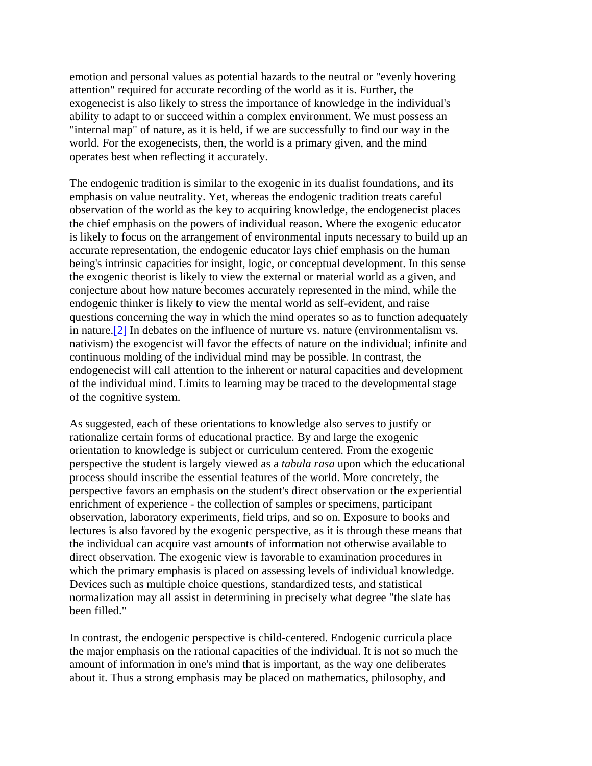emotion and personal values as potential hazards to the neutral or "evenly hovering attention" required for accurate recording of the world as it is. Further, the exogenecist is also likely to stress the importance of knowledge in the individual's ability to adapt to or succeed within a complex environment. We must possess an "internal map" of nature, as it is held, if we are successfully to find our way in the world. For the exogenecists, then, the world is a primary given, and the mind operates best when reflecting it accurately.

The endogenic tradition is similar to the exogenic in its dualist foundations, and its emphasis on value neutrality. Yet, whereas the endogenic tradition treats careful observation of the world as the key to acquiring knowledge, the endogenecist places the chief emphasis on the powers of individual reason. Where the exogenic educator is likely to focus on the arrangement of environmental inputs necessary to build up an accurate representation, the endogenic educator lays chief emphasis on the human being's intrinsic capacities for insight, logic, or conceptual development. In this sense the exogenic theorist is likely to view the external or material world as a given, and conjecture about how nature becomes accurately represented in the mind, while the endogenic thinker is likely to view the mental world as self-evident, and raise questions concerning the way in which the mind operates so as to function adequately in nature.[2] In debates on the influence of nurture vs. nature (environmentalism vs. nativism) the exogencist will favor the effects of nature on the individual; infinite and continuous molding of the individual mind may be possible. In contrast, the endogenecist will call attention to the inherent or natural capacities and development of the individual mind. Limits to learning may be traced to the developmental stage of the cognitive system.

As suggested, each of these orientations to knowledge also serves to justify or rationalize certain forms of educational practice. By and large the exogenic orientation to knowledge is subject or curriculum centered. From the exogenic perspective the student is largely viewed as a *tabula rasa* upon which the educational process should inscribe the essential features of the world. More concretely, the perspective favors an emphasis on the student's direct observation or the experiential enrichment of experience - the collection of samples or specimens, participant observation, laboratory experiments, field trips, and so on. Exposure to books and lectures is also favored by the exogenic perspective, as it is through these means that the individual can acquire vast amounts of information not otherwise available to direct observation. The exogenic view is favorable to examination procedures in which the primary emphasis is placed on assessing levels of individual knowledge. Devices such as multiple choice questions, standardized tests, and statistical normalization may all assist in determining in precisely what degree "the slate has been filled."

In contrast, the endogenic perspective is child-centered. Endogenic curricula place the major emphasis on the rational capacities of the individual. It is not so much the amount of information in one's mind that is important, as the way one deliberates about it. Thus a strong emphasis may be placed on mathematics, philosophy, and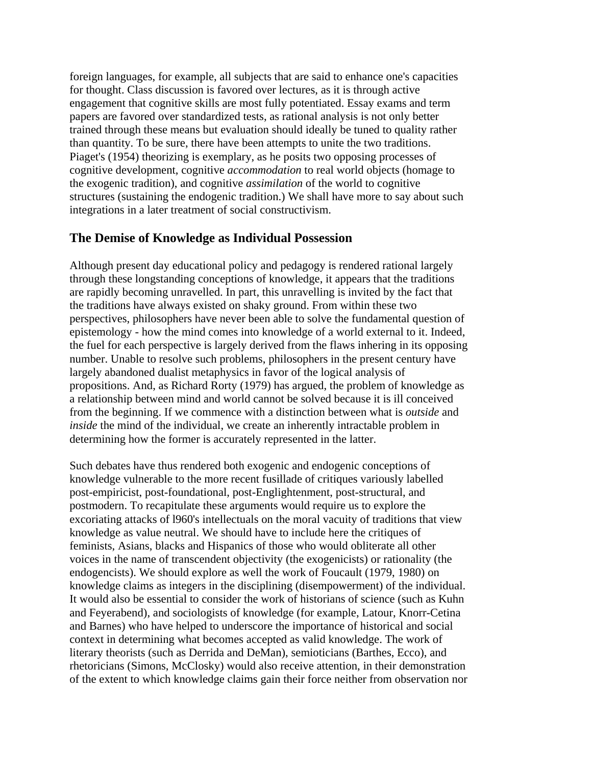foreign languages, for example, all subjects that are said to enhance one's capacities for thought. Class discussion is favored over lectures, as it is through active engagement that cognitive skills are most fully potentiated. Essay exams and term papers are favored over standardized tests, as rational analysis is not only better trained through these means but evaluation should ideally be tuned to quality rather than quantity. To be sure, there have been attempts to unite the two traditions. Piaget's (1954) theorizing is exemplary, as he posits two opposing processes of cognitive development, cognitive *accommodation* to real world objects (homage to the exogenic tradition), and cognitive *assimilation* of the world to cognitive structures (sustaining the endogenic tradition.) We shall have more to say about such integrations in a later treatment of social constructivism.

## **The Demise of Knowledge as Individual Possession**

Although present day educational policy and pedagogy is rendered rational largely through these longstanding conceptions of knowledge, it appears that the traditions are rapidly becoming unravelled. In part, this unravelling is invited by the fact that the traditions have always existed on shaky ground. From within these two perspectives, philosophers have never been able to solve the fundamental question of epistemology - how the mind comes into knowledge of a world external to it. Indeed, the fuel for each perspective is largely derived from the flaws inhering in its opposing number. Unable to resolve such problems, philosophers in the present century have largely abandoned dualist metaphysics in favor of the logical analysis of propositions. And, as Richard Rorty (1979) has argued, the problem of knowledge as a relationship between mind and world cannot be solved because it is ill conceived from the beginning. If we commence with a distinction between what is *outside* and *inside* the mind of the individual, we create an inherently intractable problem in determining how the former is accurately represented in the latter.

Such debates have thus rendered both exogenic and endogenic conceptions of knowledge vulnerable to the more recent fusillade of critiques variously labelled post-empiricist, post-foundational, post-Englightenment, post-structural, and postmodern. To recapitulate these arguments would require us to explore the excoriating attacks of l960's intellectuals on the moral vacuity of traditions that view knowledge as value neutral. We should have to include here the critiques of feminists, Asians, blacks and Hispanics of those who would obliterate all other voices in the name of transcendent objectivity (the exogenicists) or rationality (the endogencists). We should explore as well the work of Foucault (1979, 1980) on knowledge claims as integers in the disciplining (disempowerment) of the individual. It would also be essential to consider the work of historians of science (such as Kuhn and Feyerabend), and sociologists of knowledge (for example, Latour, Knorr-Cetina and Barnes) who have helped to underscore the importance of historical and social context in determining what becomes accepted as valid knowledge. The work of literary theorists (such as Derrida and DeMan), semioticians (Barthes, Ecco), and rhetoricians (Simons, McClosky) would also receive attention, in their demonstration of the extent to which knowledge claims gain their force neither from observation nor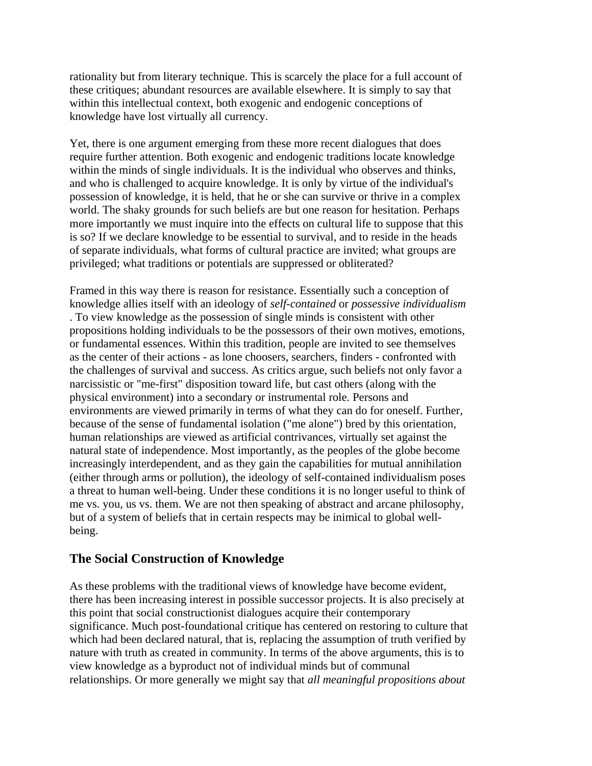rationality but from literary technique. This is scarcely the place for a full account of these critiques; abundant resources are available elsewhere. It is simply to say that within this intellectual context, both exogenic and endogenic conceptions of knowledge have lost virtually all currency.

Yet, there is one argument emerging from these more recent dialogues that does require further attention. Both exogenic and endogenic traditions locate knowledge within the minds of single individuals. It is the individual who observes and thinks, and who is challenged to acquire knowledge. It is only by virtue of the individual's possession of knowledge, it is held, that he or she can survive or thrive in a complex world. The shaky grounds for such beliefs are but one reason for hesitation. Perhaps more importantly we must inquire into the effects on cultural life to suppose that this is so? If we declare knowledge to be essential to survival, and to reside in the heads of separate individuals, what forms of cultural practice are invited; what groups are privileged; what traditions or potentials are suppressed or obliterated?

Framed in this way there is reason for resistance. Essentially such a conception of knowledge allies itself with an ideology of *self-contained* or *possessive individualism* . To view knowledge as the possession of single minds is consistent with other propositions holding individuals to be the possessors of their own motives, emotions, or fundamental essences. Within this tradition, people are invited to see themselves as the center of their actions - as lone choosers, searchers, finders - confronted with the challenges of survival and success. As critics argue, such beliefs not only favor a narcissistic or "me-first" disposition toward life, but cast others (along with the physical environment) into a secondary or instrumental role. Persons and environments are viewed primarily in terms of what they can do for oneself. Further, because of the sense of fundamental isolation ("me alone") bred by this orientation, human relationships are viewed as artificial contrivances, virtually set against the natural state of independence. Most importantly, as the peoples of the globe become increasingly interdependent, and as they gain the capabilities for mutual annihilation (either through arms or pollution), the ideology of self-contained individualism poses a threat to human well-being. Under these conditions it is no longer useful to think of me vs. you, us vs. them. We are not then speaking of abstract and arcane philosophy, but of a system of beliefs that in certain respects may be inimical to global wellbeing.

## **The Social Construction of Knowledge**

As these problems with the traditional views of knowledge have become evident, there has been increasing interest in possible successor projects. It is also precisely at this point that social constructionist dialogues acquire their contemporary significance. Much post-foundational critique has centered on restoring to culture that which had been declared natural, that is, replacing the assumption of truth verified by nature with truth as created in community. In terms of the above arguments, this is to view knowledge as a byproduct not of individual minds but of communal relationships. Or more generally we might say that *all meaningful propositions about*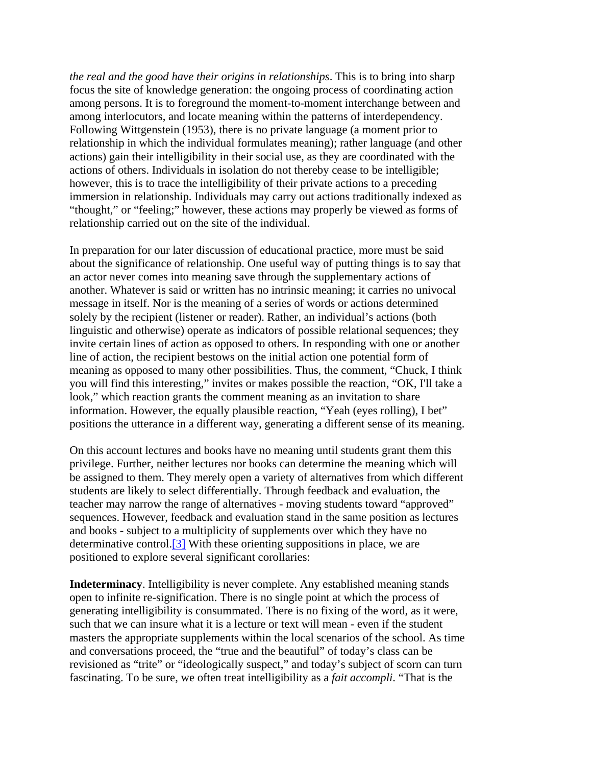*the real and the good have their origins in relationships*. This is to bring into sharp focus the site of knowledge generation: the ongoing process of coordinating action among persons. It is to foreground the moment-to-moment interchange between and among interlocutors, and locate meaning within the patterns of interdependency. Following Wittgenstein (1953), there is no private language (a moment prior to relationship in which the individual formulates meaning); rather language (and other actions) gain their intelligibility in their social use, as they are coordinated with the actions of others. Individuals in isolation do not thereby cease to be intelligible; however, this is to trace the intelligibility of their private actions to a preceding immersion in relationship. Individuals may carry out actions traditionally indexed as "thought," or "feeling;" however, these actions may properly be viewed as forms of relationship carried out on the site of the individual.

In preparation for our later discussion of educational practice, more must be said about the significance of relationship. One useful way of putting things is to say that an actor never comes into meaning save through the supplementary actions of another. Whatever is said or written has no intrinsic meaning; it carries no univocal message in itself. Nor is the meaning of a series of words or actions determined solely by the recipient (listener or reader). Rather, an individual's actions (both linguistic and otherwise) operate as indicators of possible relational sequences; they invite certain lines of action as opposed to others. In responding with one or another line of action, the recipient bestows on the initial action one potential form of meaning as opposed to many other possibilities. Thus, the comment, "Chuck, I think you will find this interesting," invites or makes possible the reaction, "OK, I'll take a look," which reaction grants the comment meaning as an invitation to share information. However, the equally plausible reaction, "Yeah (eyes rolling), I bet" positions the utterance in a different way, generating a different sense of its meaning.

On this account lectures and books have no meaning until students grant them this privilege. Further, neither lectures nor books can determine the meaning which will be assigned to them. They merely open a variety of alternatives from which different students are likely to select differentially. Through feedback and evaluation, the teacher may narrow the range of alternatives - moving students toward "approved" sequences. However, feedback and evaluation stand in the same position as lectures and books - subject to a multiplicity of supplements over which they have no determinative control.[3] With these orienting suppositions in place, we are positioned to explore several significant corollaries:

**Indeterminacy**. Intelligibility is never complete. Any established meaning stands open to infinite re-signification. There is no single point at which the process of generating intelligibility is consummated. There is no fixing of the word, as it were, such that we can insure what it is a lecture or text will mean - even if the student masters the appropriate supplements within the local scenarios of the school. As time and conversations proceed, the "true and the beautiful" of today's class can be revisioned as "trite" or "ideologically suspect," and today's subject of scorn can turn fascinating. To be sure, we often treat intelligibility as a *fait accompli*. "That is the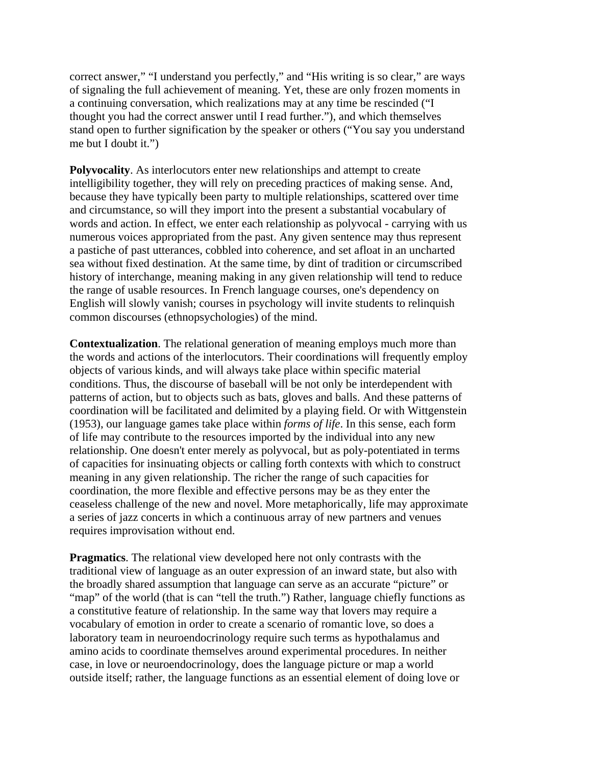correct answer," "I understand you perfectly," and "His writing is so clear," are ways of signaling the full achievement of meaning. Yet, these are only frozen moments in a continuing conversation, which realizations may at any time be rescinded ("I thought you had the correct answer until I read further."), and which themselves stand open to further signification by the speaker or others ("You say you understand me but I doubt it.")

**Polyvocality**. As interlocutors enter new relationships and attempt to create intelligibility together, they will rely on preceding practices of making sense. And, because they have typically been party to multiple relationships, scattered over time and circumstance, so will they import into the present a substantial vocabulary of words and action. In effect, we enter each relationship as polyvocal - carrying with us numerous voices appropriated from the past. Any given sentence may thus represent a pastiche of past utterances, cobbled into coherence, and set afloat in an uncharted sea without fixed destination. At the same time, by dint of tradition or circumscribed history of interchange, meaning making in any given relationship will tend to reduce the range of usable resources. In French language courses, one's dependency on English will slowly vanish; courses in psychology will invite students to relinquish common discourses (ethnopsychologies) of the mind.

**Contextualization**. The relational generation of meaning employs much more than the words and actions of the interlocutors. Their coordinations will frequently employ objects of various kinds, and will always take place within specific material conditions. Thus, the discourse of baseball will be not only be interdependent with patterns of action, but to objects such as bats, gloves and balls. And these patterns of coordination will be facilitated and delimited by a playing field. Or with Wittgenstein (1953), our language games take place within *forms of life*. In this sense, each form of life may contribute to the resources imported by the individual into any new relationship. One doesn't enter merely as polyvocal, but as poly-potentiated in terms of capacities for insinuating objects or calling forth contexts with which to construct meaning in any given relationship. The richer the range of such capacities for coordination, the more flexible and effective persons may be as they enter the ceaseless challenge of the new and novel. More metaphorically, life may approximate a series of jazz concerts in which a continuous array of new partners and venues requires improvisation without end.

**Pragmatics**. The relational view developed here not only contrasts with the traditional view of language as an outer expression of an inward state, but also with the broadly shared assumption that language can serve as an accurate "picture" or "map" of the world (that is can "tell the truth.") Rather, language chiefly functions as a constitutive feature of relationship. In the same way that lovers may require a vocabulary of emotion in order to create a scenario of romantic love, so does a laboratory team in neuroendocrinology require such terms as hypothalamus and amino acids to coordinate themselves around experimental procedures. In neither case, in love or neuroendocrinology, does the language picture or map a world outside itself; rather, the language functions as an essential element of doing love or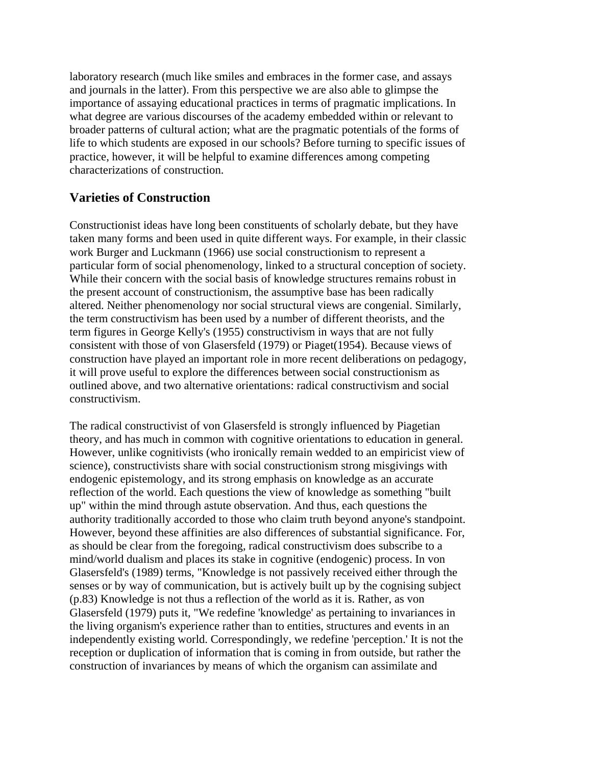laboratory research (much like smiles and embraces in the former case, and assays and journals in the latter). From this perspective we are also able to glimpse the importance of assaying educational practices in terms of pragmatic implications. In what degree are various discourses of the academy embedded within or relevant to broader patterns of cultural action; what are the pragmatic potentials of the forms of life to which students are exposed in our schools? Before turning to specific issues of practice, however, it will be helpful to examine differences among competing characterizations of construction.

## **Varieties of Construction**

Constructionist ideas have long been constituents of scholarly debate, but they have taken many forms and been used in quite different ways. For example, in their classic work Burger and Luckmann (1966) use social constructionism to represent a particular form of social phenomenology, linked to a structural conception of society. While their concern with the social basis of knowledge structures remains robust in the present account of constructionism, the assumptive base has been radically altered. Neither phenomenology nor social structural views are congenial. Similarly, the term constructivism has been used by a number of different theorists, and the term figures in George Kelly's (1955) constructivism in ways that are not fully consistent with those of von Glasersfeld (1979) or Piaget(1954). Because views of construction have played an important role in more recent deliberations on pedagogy, it will prove useful to explore the differences between social constructionism as outlined above, and two alternative orientations: radical constructivism and social constructivism.

The radical constructivist of von Glasersfeld is strongly influenced by Piagetian theory, and has much in common with cognitive orientations to education in general. However, unlike cognitivists (who ironically remain wedded to an empiricist view of science), constructivists share with social constructionism strong misgivings with endogenic epistemology, and its strong emphasis on knowledge as an accurate reflection of the world. Each questions the view of knowledge as something "built up" within the mind through astute observation. And thus, each questions the authority traditionally accorded to those who claim truth beyond anyone's standpoint. However, beyond these affinities are also differences of substantial significance. For, as should be clear from the foregoing, radical constructivism does subscribe to a mind/world dualism and places its stake in cognitive (endogenic) process. In von Glasersfeld's (1989) terms, "Knowledge is not passively received either through the senses or by way of communication, but is actively built up by the cognising subject (p.83) Knowledge is not thus a reflection of the world as it is. Rather, as von Glasersfeld (1979) puts it, "We redefine 'knowledge' as pertaining to invariances in the living organism's experience rather than to entities, structures and events in an independently existing world. Correspondingly, we redefine 'perception.' It is not the reception or duplication of information that is coming in from outside, but rather the construction of invariances by means of which the organism can assimilate and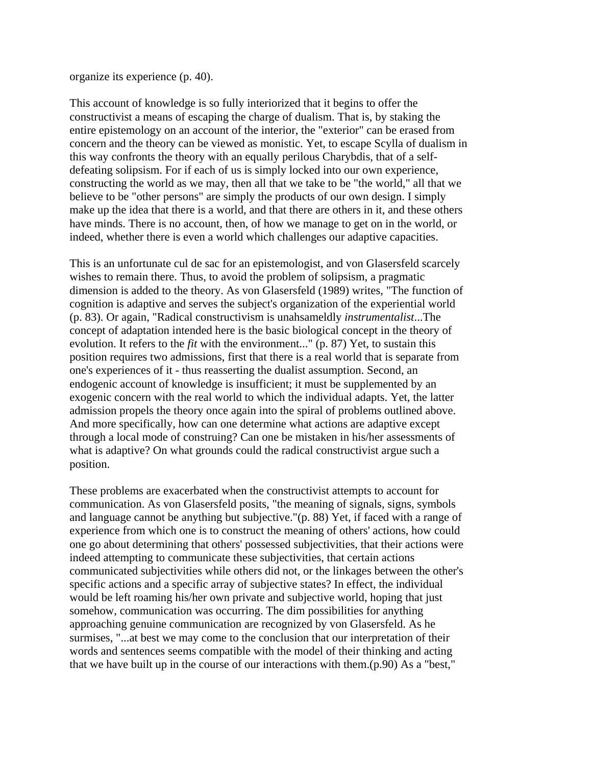#### organize its experience (p. 40).

This account of knowledge is so fully interiorized that it begins to offer the constructivist a means of escaping the charge of dualism. That is, by staking the entire epistemology on an account of the interior, the "exterior" can be erased from concern and the theory can be viewed as monistic. Yet, to escape Scylla of dualism in this way confronts the theory with an equally perilous Charybdis, that of a selfdefeating solipsism. For if each of us is simply locked into our own experience, constructing the world as we may, then all that we take to be "the world," all that we believe to be "other persons" are simply the products of our own design. I simply make up the idea that there is a world, and that there are others in it, and these others have minds. There is no account, then, of how we manage to get on in the world, or indeed, whether there is even a world which challenges our adaptive capacities.

This is an unfortunate cul de sac for an epistemologist, and von Glasersfeld scarcely wishes to remain there. Thus, to avoid the problem of solipsism, a pragmatic dimension is added to the theory. As von Glasersfeld (1989) writes, "The function of cognition is adaptive and serves the subject's organization of the experiential world (p. 83). Or again, "Radical constructivism is unahsameldly *instrumentalist*...The concept of adaptation intended here is the basic biological concept in the theory of evolution. It refers to the *fit* with the environment..." (p. 87) Yet, to sustain this position requires two admissions, first that there is a real world that is separate from one's experiences of it - thus reasserting the dualist assumption. Second, an endogenic account of knowledge is insufficient; it must be supplemented by an exogenic concern with the real world to which the individual adapts. Yet, the latter admission propels the theory once again into the spiral of problems outlined above. And more specifically, how can one determine what actions are adaptive except through a local mode of construing? Can one be mistaken in his/her assessments of what is adaptive? On what grounds could the radical constructivist argue such a position.

These problems are exacerbated when the constructivist attempts to account for communication. As von Glasersfeld posits, "the meaning of signals, signs, symbols and language cannot be anything but subjective."(p. 88) Yet, if faced with a range of experience from which one is to construct the meaning of others' actions, how could one go about determining that others' possessed subjectivities, that their actions were indeed attempting to communicate these subjectivities, that certain actions communicated subjectivities while others did not, or the linkages between the other's specific actions and a specific array of subjective states? In effect, the individual would be left roaming his/her own private and subjective world, hoping that just somehow, communication was occurring. The dim possibilities for anything approaching genuine communication are recognized by von Glasersfeld. As he surmises, "...at best we may come to the conclusion that our interpretation of their words and sentences seems compatible with the model of their thinking and acting that we have built up in the course of our interactions with them.(p.90) As a "best,"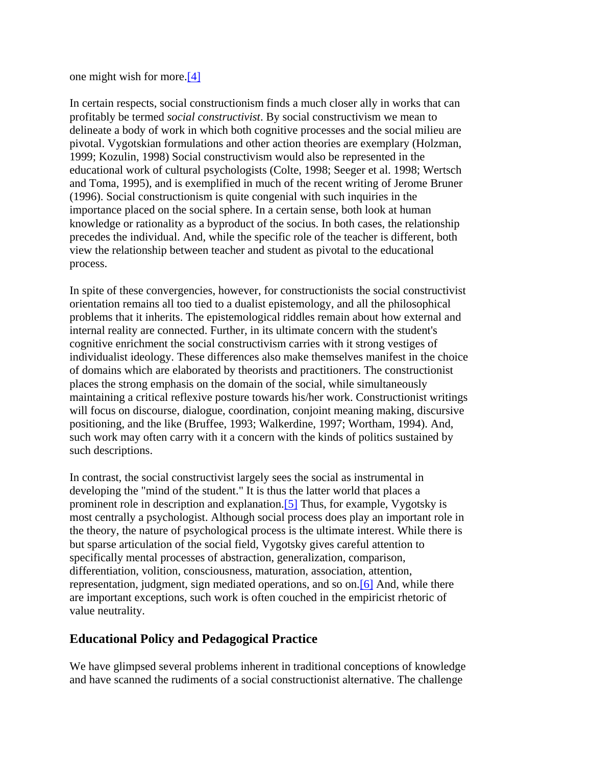one might wish for more.[4]

In certain respects, social constructionism finds a much closer ally in works that can profitably be termed *social constructivist*. By social constructivism we mean to delineate a body of work in which both cognitive processes and the social milieu are pivotal. Vygotskian formulations and other action theories are exemplary (Holzman, 1999; Kozulin, 1998) Social constructivism would also be represented in the educational work of cultural psychologists (Colte, 1998; Seeger et al. 1998; Wertsch and Toma, 1995), and is exemplified in much of the recent writing of Jerome Bruner (1996). Social constructionism is quite congenial with such inquiries in the importance placed on the social sphere. In a certain sense, both look at human knowledge or rationality as a byproduct of the socius. In both cases, the relationship precedes the individual. And, while the specific role of the teacher is different, both view the relationship between teacher and student as pivotal to the educational process.

In spite of these convergencies, however, for constructionists the social constructivist orientation remains all too tied to a dualist epistemology, and all the philosophical problems that it inherits. The epistemological riddles remain about how external and internal reality are connected. Further, in its ultimate concern with the student's cognitive enrichment the social constructivism carries with it strong vestiges of individualist ideology. These differences also make themselves manifest in the choice of domains which are elaborated by theorists and practitioners. The constructionist places the strong emphasis on the domain of the social, while simultaneously maintaining a critical reflexive posture towards his/her work. Constructionist writings will focus on discourse, dialogue, coordination, conjoint meaning making, discursive positioning, and the like (Bruffee, 1993; Walkerdine, 1997; Wortham, 1994). And, such work may often carry with it a concern with the kinds of politics sustained by such descriptions.

In contrast, the social constructivist largely sees the social as instrumental in developing the "mind of the student." It is thus the latter world that places a prominent role in description and explanation.[5] Thus, for example, Vygotsky is most centrally a psychologist. Although social process does play an important role in the theory, the nature of psychological process is the ultimate interest. While there is but sparse articulation of the social field, Vygotsky gives careful attention to specifically mental processes of abstraction, generalization, comparison, differentiation, volition, consciousness, maturation, association, attention, representation, judgment, sign mediated operations, and so on.[6] And, while there are important exceptions, such work is often couched in the empiricist rhetoric of value neutrality.

## **Educational Policy and Pedagogical Practice**

We have glimpsed several problems inherent in traditional conceptions of knowledge and have scanned the rudiments of a social constructionist alternative. The challenge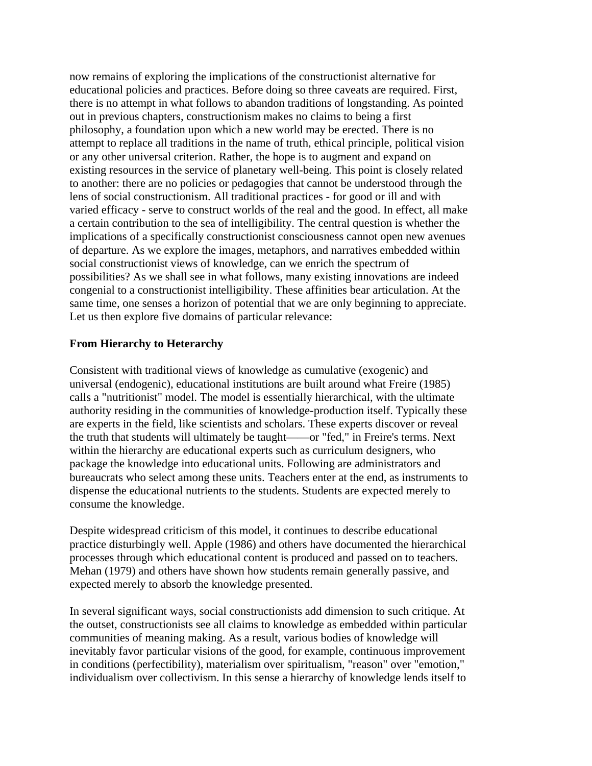now remains of exploring the implications of the constructionist alternative for educational policies and practices. Before doing so three caveats are required. First, there is no attempt in what follows to abandon traditions of longstanding. As pointed out in previous chapters, constructionism makes no claims to being a first philosophy, a foundation upon which a new world may be erected. There is no attempt to replace all traditions in the name of truth, ethical principle, political vision or any other universal criterion. Rather, the hope is to augment and expand on existing resources in the service of planetary well-being. This point is closely related to another: there are no policies or pedagogies that cannot be understood through the lens of social constructionism. All traditional practices - for good or ill and with varied efficacy - serve to construct worlds of the real and the good. In effect, all make a certain contribution to the sea of intelligibility. The central question is whether the implications of a specifically constructionist consciousness cannot open new avenues of departure. As we explore the images, metaphors, and narratives embedded within social constructionist views of knowledge, can we enrich the spectrum of possibilities? As we shall see in what follows, many existing innovations are indeed congenial to a constructionist intelligibility. These affinities bear articulation. At the same time, one senses a horizon of potential that we are only beginning to appreciate. Let us then explore five domains of particular relevance:

#### **From Hierarchy to Heterarchy**

Consistent with traditional views of knowledge as cumulative (exogenic) and universal (endogenic), educational institutions are built around what Freire (1985) calls a "nutritionist" model. The model is essentially hierarchical, with the ultimate authority residing in the communities of knowledge-production itself. Typically these are experts in the field, like scientists and scholars. These experts discover or reveal the truth that students will ultimately be taught——or "fed," in Freire's terms. Next within the hierarchy are educational experts such as curriculum designers, who package the knowledge into educational units. Following are administrators and bureaucrats who select among these units. Teachers enter at the end, as instruments to dispense the educational nutrients to the students. Students are expected merely to consume the knowledge.

Despite widespread criticism of this model, it continues to describe educational practice disturbingly well. Apple (1986) and others have documented the hierarchical processes through which educational content is produced and passed on to teachers. Mehan (1979) and others have shown how students remain generally passive, and expected merely to absorb the knowledge presented.

In several significant ways, social constructionists add dimension to such critique. At the outset, constructionists see all claims to knowledge as embedded within particular communities of meaning making. As a result, various bodies of knowledge will inevitably favor particular visions of the good, for example, continuous improvement in conditions (perfectibility), materialism over spiritualism, "reason" over "emotion," individualism over collectivism. In this sense a hierarchy of knowledge lends itself to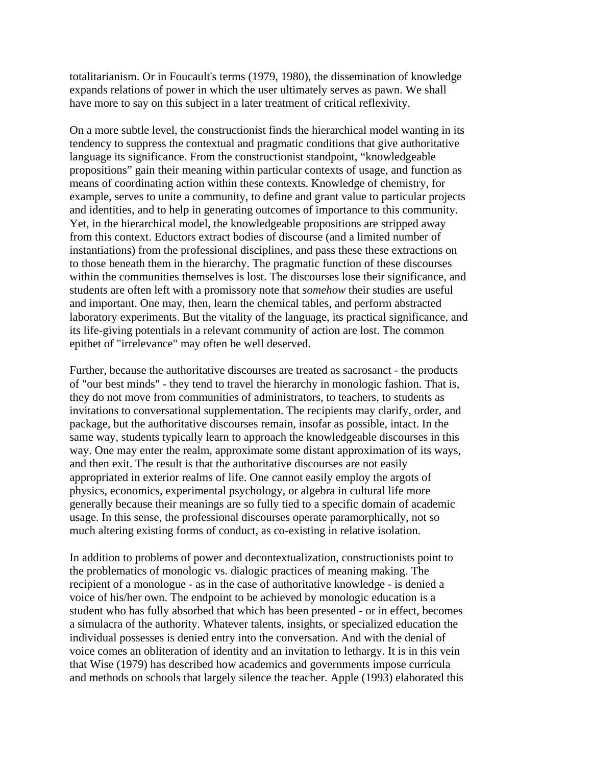totalitarianism. Or in Foucault's terms (1979, 1980), the dissemination of knowledge expands relations of power in which the user ultimately serves as pawn. We shall have more to say on this subject in a later treatment of critical reflexivity.

On a more subtle level, the constructionist finds the hierarchical model wanting in its tendency to suppress the contextual and pragmatic conditions that give authoritative language its significance. From the constructionist standpoint, "knowledgeable propositions" gain their meaning within particular contexts of usage, and function as means of coordinating action within these contexts. Knowledge of chemistry, for example, serves to unite a community, to define and grant value to particular projects and identities, and to help in generating outcomes of importance to this community. Yet, in the hierarchical model, the knowledgeable propositions are stripped away from this context. Eductors extract bodies of discourse (and a limited number of instantiations) from the professional disciplines, and pass these these extractions on to those beneath them in the hierarchy. The pragmatic function of these discourses within the communities themselves is lost. The discourses lose their significance, and students are often left with a promissory note that *somehow* their studies are useful and important. One may, then, learn the chemical tables, and perform abstracted laboratory experiments. But the vitality of the language, its practical significance, and its life-giving potentials in a relevant community of action are lost. The common epithet of "irrelevance" may often be well deserved.

Further, because the authoritative discourses are treated as sacrosanct - the products of "our best minds" - they tend to travel the hierarchy in monologic fashion. That is, they do not move from communities of administrators, to teachers, to students as invitations to conversational supplementation. The recipients may clarify, order, and package, but the authoritative discourses remain, insofar as possible, intact. In the same way, students typically learn to approach the knowledgeable discourses in this way. One may enter the realm, approximate some distant approximation of its ways, and then exit. The result is that the authoritative discourses are not easily appropriated in exterior realms of life. One cannot easily employ the argots of physics, economics, experimental psychology, or algebra in cultural life more generally because their meanings are so fully tied to a specific domain of academic usage. In this sense, the professional discourses operate paramorphically, not so much altering existing forms of conduct, as co-existing in relative isolation.

In addition to problems of power and decontextualization, constructionists point to the problematics of monologic vs. dialogic practices of meaning making. The recipient of a monologue - as in the case of authoritative knowledge - is denied a voice of his/her own. The endpoint to be achieved by monologic education is a student who has fully absorbed that which has been presented - or in effect, becomes a simulacra of the authority. Whatever talents, insights, or specialized education the individual possesses is denied entry into the conversation. And with the denial of voice comes an obliteration of identity and an invitation to lethargy. It is in this vein that Wise (1979) has described how academics and governments impose curricula and methods on schools that largely silence the teacher. Apple (1993) elaborated this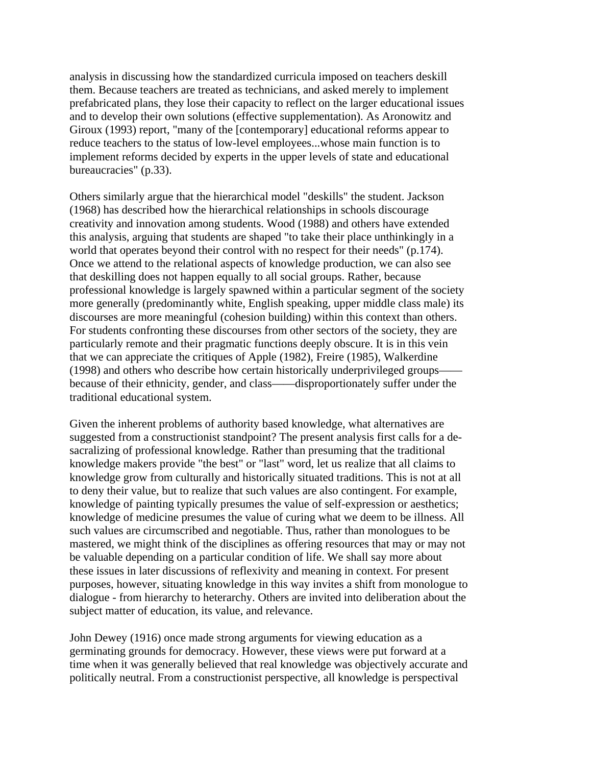analysis in discussing how the standardized curricula imposed on teachers deskill them. Because teachers are treated as technicians, and asked merely to implement prefabricated plans, they lose their capacity to reflect on the larger educational issues and to develop their own solutions (effective supplementation). As Aronowitz and Giroux (1993) report, "many of the [contemporary] educational reforms appear to reduce teachers to the status of low-level employees...whose main function is to implement reforms decided by experts in the upper levels of state and educational bureaucracies" (p.33).

Others similarly argue that the hierarchical model "deskills" the student. Jackson (1968) has described how the hierarchical relationships in schools discourage creativity and innovation among students. Wood (1988) and others have extended this analysis, arguing that students are shaped "to take their place unthinkingly in a world that operates beyond their control with no respect for their needs" (p.174). Once we attend to the relational aspects of knowledge production, we can also see that deskilling does not happen equally to all social groups. Rather, because professional knowledge is largely spawned within a particular segment of the society more generally (predominantly white, English speaking, upper middle class male) its discourses are more meaningful (cohesion building) within this context than others. For students confronting these discourses from other sectors of the society, they are particularly remote and their pragmatic functions deeply obscure. It is in this vein that we can appreciate the critiques of Apple (1982), Freire (1985), Walkerdine (1998) and others who describe how certain historically underprivileged groups— because of their ethnicity, gender, and class——disproportionately suffer under the traditional educational system.

Given the inherent problems of authority based knowledge, what alternatives are suggested from a constructionist standpoint? The present analysis first calls for a desacralizing of professional knowledge. Rather than presuming that the traditional knowledge makers provide "the best" or "last" word, let us realize that all claims to knowledge grow from culturally and historically situated traditions. This is not at all to deny their value, but to realize that such values are also contingent. For example, knowledge of painting typically presumes the value of self-expression or aesthetics; knowledge of medicine presumes the value of curing what we deem to be illness. All such values are circumscribed and negotiable. Thus, rather than monologues to be mastered, we might think of the disciplines as offering resources that may or may not be valuable depending on a particular condition of life. We shall say more about these issues in later discussions of reflexivity and meaning in context. For present purposes, however, situating knowledge in this way invites a shift from monologue to dialogue - from hierarchy to heterarchy. Others are invited into deliberation about the subject matter of education, its value, and relevance.

John Dewey (1916) once made strong arguments for viewing education as a germinating grounds for democracy. However, these views were put forward at a time when it was generally believed that real knowledge was objectively accurate and politically neutral. From a constructionist perspective, all knowledge is perspectival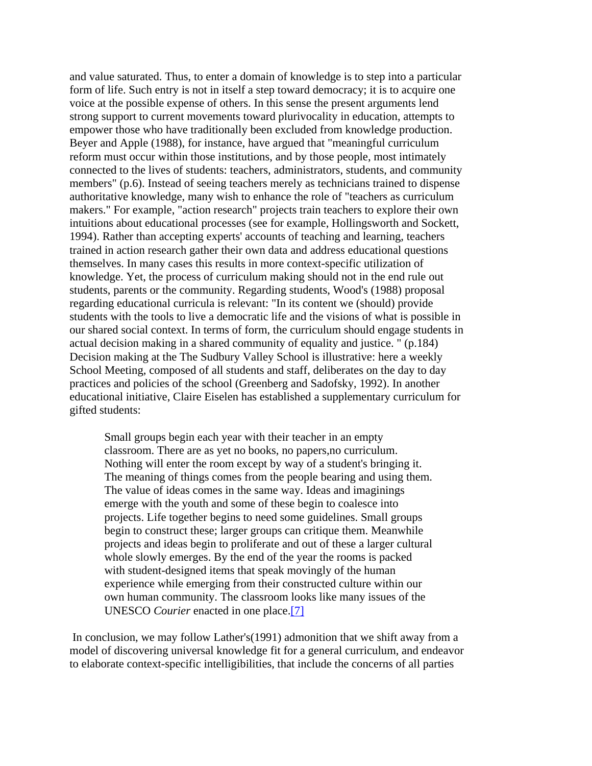and value saturated. Thus, to enter a domain of knowledge is to step into a particular form of life. Such entry is not in itself a step toward democracy; it is to acquire one voice at the possible expense of others. In this sense the present arguments lend strong support to current movements toward plurivocality in education, attempts to empower those who have traditionally been excluded from knowledge production. Beyer and Apple (1988), for instance, have argued that "meaningful curriculum reform must occur within those institutions, and by those people, most intimately connected to the lives of students: teachers, administrators, students, and community members" (p.6). Instead of seeing teachers merely as technicians trained to dispense authoritative knowledge, many wish to enhance the role of "teachers as curriculum makers." For example, "action research" projects train teachers to explore their own intuitions about educational processes (see for example, Hollingsworth and Sockett, 1994). Rather than accepting experts' accounts of teaching and learning, teachers trained in action research gather their own data and address educational questions themselves. In many cases this results in more context-specific utilization of knowledge. Yet, the process of curriculum making should not in the end rule out students, parents or the community. Regarding students, Wood's (1988) proposal regarding educational curricula is relevant: "In its content we (should) provide students with the tools to live a democratic life and the visions of what is possible in our shared social context. In terms of form, the curriculum should engage students in actual decision making in a shared community of equality and justice. " (p.184) Decision making at the The Sudbury Valley School is illustrative: here a weekly School Meeting, composed of all students and staff, deliberates on the day to day practices and policies of the school (Greenberg and Sadofsky, 1992). In another educational initiative, Claire Eiselen has established a supplementary curriculum for gifted students:

Small groups begin each year with their teacher in an empty classroom. There are as yet no books, no papers,no curriculum. Nothing will enter the room except by way of a student's bringing it. The meaning of things comes from the people bearing and using them. The value of ideas comes in the same way. Ideas and imaginings emerge with the youth and some of these begin to coalesce into projects. Life together begins to need some guidelines. Small groups begin to construct these; larger groups can critique them. Meanwhile projects and ideas begin to proliferate and out of these a larger cultural whole slowly emerges. By the end of the year the rooms is packed with student-designed items that speak movingly of the human experience while emerging from their constructed culture within our own human community. The classroom looks like many issues of the UNESCO *Courier* enacted in one place.[7]

 In conclusion, we may follow Lather's(1991) admonition that we shift away from a model of discovering universal knowledge fit for a general curriculum, and endeavor to elaborate context-specific intelligibilities, that include the concerns of all parties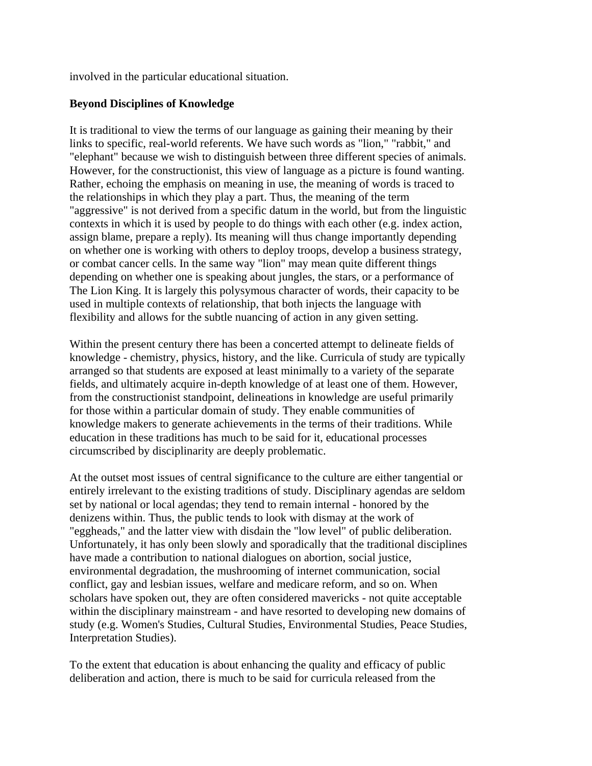involved in the particular educational situation.

#### **Beyond Disciplines of Knowledge**

It is traditional to view the terms of our language as gaining their meaning by their links to specific, real-world referents. We have such words as "lion," "rabbit," and "elephant" because we wish to distinguish between three different species of animals. However, for the constructionist, this view of language as a picture is found wanting. Rather, echoing the emphasis on meaning in use, the meaning of words is traced to the relationships in which they play a part. Thus, the meaning of the term "aggressive" is not derived from a specific datum in the world, but from the linguistic contexts in which it is used by people to do things with each other (e.g. index action, assign blame, prepare a reply). Its meaning will thus change importantly depending on whether one is working with others to deploy troops, develop a business strategy, or combat cancer cells. In the same way "lion" may mean quite different things depending on whether one is speaking about jungles, the stars, or a performance of The Lion King. It is largely this polysymous character of words, their capacity to be used in multiple contexts of relationship, that both injects the language with flexibility and allows for the subtle nuancing of action in any given setting.

Within the present century there has been a concerted attempt to delineate fields of knowledge - chemistry, physics, history, and the like. Curricula of study are typically arranged so that students are exposed at least minimally to a variety of the separate fields, and ultimately acquire in-depth knowledge of at least one of them. However, from the constructionist standpoint, delineations in knowledge are useful primarily for those within a particular domain of study. They enable communities of knowledge makers to generate achievements in the terms of their traditions. While education in these traditions has much to be said for it, educational processes circumscribed by disciplinarity are deeply problematic.

At the outset most issues of central significance to the culture are either tangential or entirely irrelevant to the existing traditions of study. Disciplinary agendas are seldom set by national or local agendas; they tend to remain internal - honored by the denizens within. Thus, the public tends to look with dismay at the work of "eggheads," and the latter view with disdain the "low level" of public deliberation. Unfortunately, it has only been slowly and sporadically that the traditional disciplines have made a contribution to national dialogues on abortion, social justice, environmental degradation, the mushrooming of internet communication, social conflict, gay and lesbian issues, welfare and medicare reform, and so on. When scholars have spoken out, they are often considered mavericks - not quite acceptable within the disciplinary mainstream - and have resorted to developing new domains of study (e.g. Women's Studies, Cultural Studies, Environmental Studies, Peace Studies, Interpretation Studies).

To the extent that education is about enhancing the quality and efficacy of public deliberation and action, there is much to be said for curricula released from the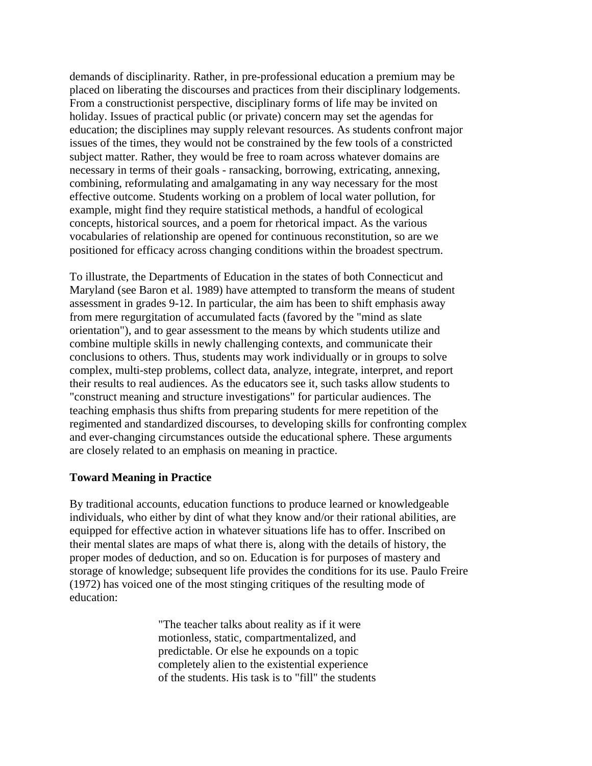demands of disciplinarity. Rather, in pre-professional education a premium may be placed on liberating the discourses and practices from their disciplinary lodgements. From a constructionist perspective, disciplinary forms of life may be invited on holiday. Issues of practical public (or private) concern may set the agendas for education; the disciplines may supply relevant resources. As students confront major issues of the times, they would not be constrained by the few tools of a constricted subject matter. Rather, they would be free to roam across whatever domains are necessary in terms of their goals - ransacking, borrowing, extricating, annexing, combining, reformulating and amalgamating in any way necessary for the most effective outcome. Students working on a problem of local water pollution, for example, might find they require statistical methods, a handful of ecological concepts, historical sources, and a poem for rhetorical impact. As the various vocabularies of relationship are opened for continuous reconstitution, so are we positioned for efficacy across changing conditions within the broadest spectrum.

To illustrate, the Departments of Education in the states of both Connecticut and Maryland (see Baron et al. 1989) have attempted to transform the means of student assessment in grades 9-12. In particular, the aim has been to shift emphasis away from mere regurgitation of accumulated facts (favored by the "mind as slate orientation"), and to gear assessment to the means by which students utilize and combine multiple skills in newly challenging contexts, and communicate their conclusions to others. Thus, students may work individually or in groups to solve complex, multi-step problems, collect data, analyze, integrate, interpret, and report their results to real audiences. As the educators see it, such tasks allow students to "construct meaning and structure investigations" for particular audiences. The teaching emphasis thus shifts from preparing students for mere repetition of the regimented and standardized discourses, to developing skills for confronting complex and ever-changing circumstances outside the educational sphere. These arguments are closely related to an emphasis on meaning in practice.

#### **Toward Meaning in Practice**

By traditional accounts, education functions to produce learned or knowledgeable individuals, who either by dint of what they know and/or their rational abilities, are equipped for effective action in whatever situations life has to offer. Inscribed on their mental slates are maps of what there is, along with the details of history, the proper modes of deduction, and so on. Education is for purposes of mastery and storage of knowledge; subsequent life provides the conditions for its use. Paulo Freire (1972) has voiced one of the most stinging critiques of the resulting mode of education:

> "The teacher talks about reality as if it were motionless, static, compartmentalized, and predictable. Or else he expounds on a topic completely alien to the existential experience of the students. His task is to "fill" the students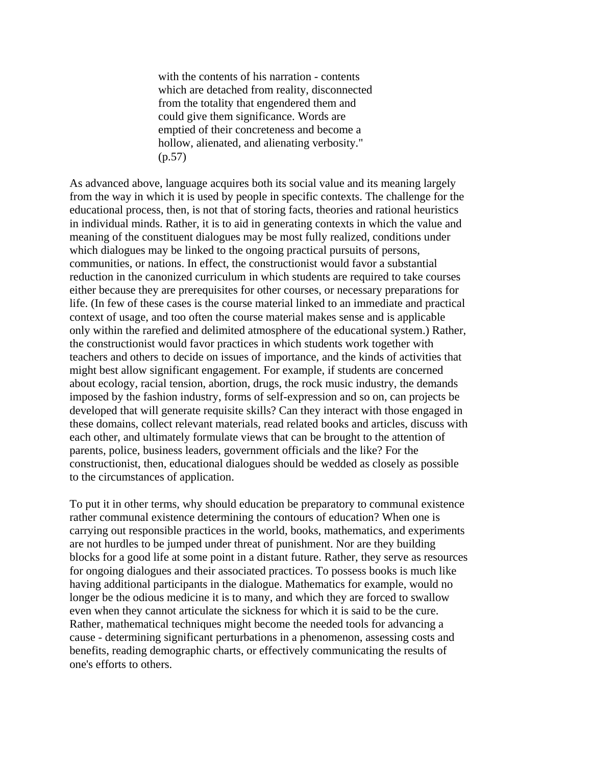with the contents of his narration - contents which are detached from reality, disconnected from the totality that engendered them and could give them significance. Words are emptied of their concreteness and become a hollow, alienated, and alienating verbosity." (p.57)

As advanced above, language acquires both its social value and its meaning largely from the way in which it is used by people in specific contexts. The challenge for the educational process, then, is not that of storing facts, theories and rational heuristics in individual minds. Rather, it is to aid in generating contexts in which the value and meaning of the constituent dialogues may be most fully realized, conditions under which dialogues may be linked to the ongoing practical pursuits of persons, communities, or nations. In effect, the constructionist would favor a substantial reduction in the canonized curriculum in which students are required to take courses either because they are prerequisites for other courses, or necessary preparations for life. (In few of these cases is the course material linked to an immediate and practical context of usage, and too often the course material makes sense and is applicable only within the rarefied and delimited atmosphere of the educational system.) Rather, the constructionist would favor practices in which students work together with teachers and others to decide on issues of importance, and the kinds of activities that might best allow significant engagement. For example, if students are concerned about ecology, racial tension, abortion, drugs, the rock music industry, the demands imposed by the fashion industry, forms of self-expression and so on, can projects be developed that will generate requisite skills? Can they interact with those engaged in these domains, collect relevant materials, read related books and articles, discuss with each other, and ultimately formulate views that can be brought to the attention of parents, police, business leaders, government officials and the like? For the constructionist, then, educational dialogues should be wedded as closely as possible to the circumstances of application.

To put it in other terms, why should education be preparatory to communal existence rather communal existence determining the contours of education? When one is carrying out responsible practices in the world, books, mathematics, and experiments are not hurdles to be jumped under threat of punishment. Nor are they building blocks for a good life at some point in a distant future. Rather, they serve as resources for ongoing dialogues and their associated practices. To possess books is much like having additional participants in the dialogue. Mathematics for example, would no longer be the odious medicine it is to many, and which they are forced to swallow even when they cannot articulate the sickness for which it is said to be the cure. Rather, mathematical techniques might become the needed tools for advancing a cause - determining significant perturbations in a phenomenon, assessing costs and benefits, reading demographic charts, or effectively communicating the results of one's efforts to others.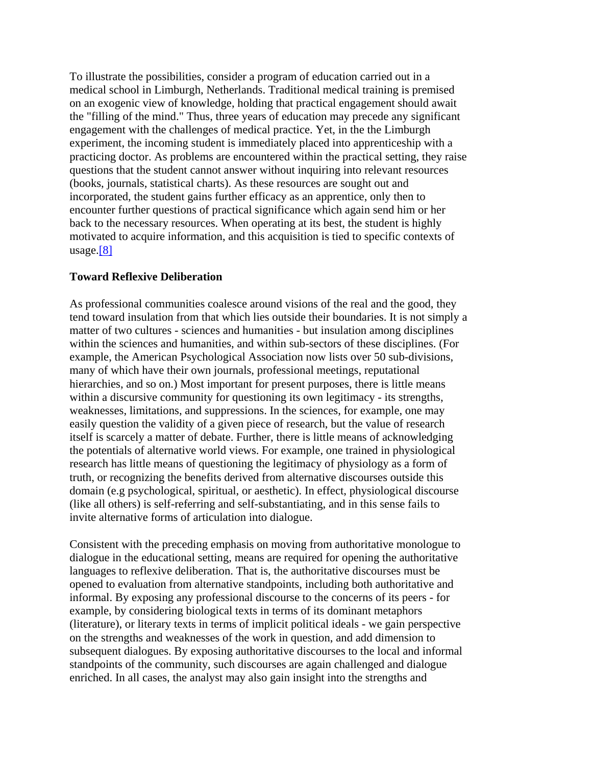To illustrate the possibilities, consider a program of education carried out in a medical school in Limburgh, Netherlands. Traditional medical training is premised on an exogenic view of knowledge, holding that practical engagement should await the "filling of the mind." Thus, three years of education may precede any significant engagement with the challenges of medical practice. Yet, in the the Limburgh experiment, the incoming student is immediately placed into apprenticeship with a practicing doctor. As problems are encountered within the practical setting, they raise questions that the student cannot answer without inquiring into relevant resources (books, journals, statistical charts). As these resources are sought out and incorporated, the student gains further efficacy as an apprentice, only then to encounter further questions of practical significance which again send him or her back to the necessary resources. When operating at its best, the student is highly motivated to acquire information, and this acquisition is tied to specific contexts of usage.[8]

#### **Toward Reflexive Deliberation**

As professional communities coalesce around visions of the real and the good, they tend toward insulation from that which lies outside their boundaries. It is not simply a matter of two cultures - sciences and humanities - but insulation among disciplines within the sciences and humanities, and within sub-sectors of these disciplines. (For example, the American Psychological Association now lists over 50 sub-divisions, many of which have their own journals, professional meetings, reputational hierarchies, and so on.) Most important for present purposes, there is little means within a discursive community for questioning its own legitimacy - its strengths, weaknesses, limitations, and suppressions. In the sciences, for example, one may easily question the validity of a given piece of research, but the value of research itself is scarcely a matter of debate. Further, there is little means of acknowledging the potentials of alternative world views. For example, one trained in physiological research has little means of questioning the legitimacy of physiology as a form of truth, or recognizing the benefits derived from alternative discourses outside this domain (e.g psychological, spiritual, or aesthetic). In effect, physiological discourse (like all others) is self-referring and self-substantiating, and in this sense fails to invite alternative forms of articulation into dialogue.

Consistent with the preceding emphasis on moving from authoritative monologue to dialogue in the educational setting, means are required for opening the authoritative languages to reflexive deliberation. That is, the authoritative discourses must be opened to evaluation from alternative standpoints, including both authoritative and informal. By exposing any professional discourse to the concerns of its peers - for example, by considering biological texts in terms of its dominant metaphors (literature), or literary texts in terms of implicit political ideals - we gain perspective on the strengths and weaknesses of the work in question, and add dimension to subsequent dialogues. By exposing authoritative discourses to the local and informal standpoints of the community, such discourses are again challenged and dialogue enriched. In all cases, the analyst may also gain insight into the strengths and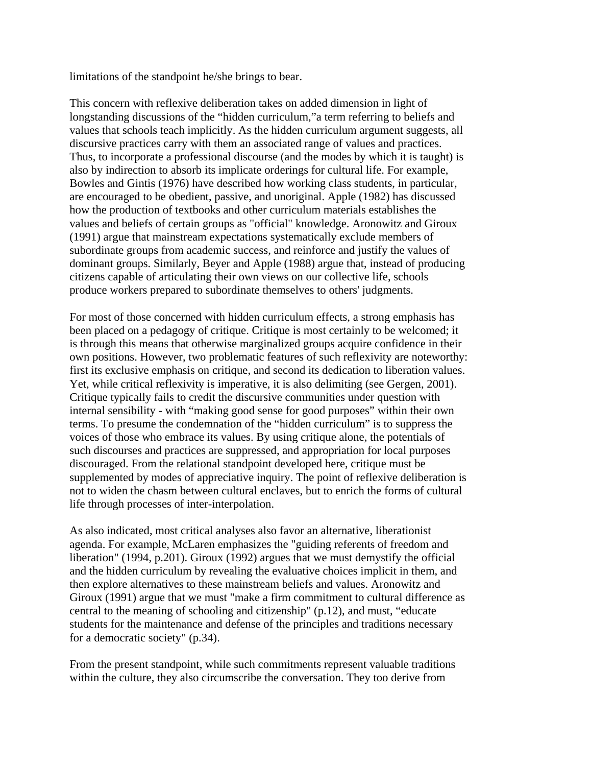limitations of the standpoint he/she brings to bear.

This concern with reflexive deliberation takes on added dimension in light of longstanding discussions of the "hidden curriculum," a term referring to beliefs and values that schools teach implicitly. As the hidden curriculum argument suggests, all discursive practices carry with them an associated range of values and practices. Thus, to incorporate a professional discourse (and the modes by which it is taught) is also by indirection to absorb its implicate orderings for cultural life. For example, Bowles and Gintis (1976) have described how working class students, in particular, are encouraged to be obedient, passive, and unoriginal. Apple (1982) has discussed how the production of textbooks and other curriculum materials establishes the values and beliefs of certain groups as "official" knowledge. Aronowitz and Giroux (1991) argue that mainstream expectations systematically exclude members of subordinate groups from academic success, and reinforce and justify the values of dominant groups. Similarly, Beyer and Apple (1988) argue that, instead of producing citizens capable of articulating their own views on our collective life, schools produce workers prepared to subordinate themselves to others' judgments.

For most of those concerned with hidden curriculum effects, a strong emphasis has been placed on a pedagogy of critique. Critique is most certainly to be welcomed; it is through this means that otherwise marginalized groups acquire confidence in their own positions. However, two problematic features of such reflexivity are noteworthy: first its exclusive emphasis on critique, and second its dedication to liberation values. Yet, while critical reflexivity is imperative, it is also delimiting (see Gergen, 2001). Critique typically fails to credit the discursive communities under question with internal sensibility - with "making good sense for good purposes" within their own terms. To presume the condemnation of the "hidden curriculum" is to suppress the voices of those who embrace its values. By using critique alone, the potentials of such discourses and practices are suppressed, and appropriation for local purposes discouraged. From the relational standpoint developed here, critique must be supplemented by modes of appreciative inquiry. The point of reflexive deliberation is not to widen the chasm between cultural enclaves, but to enrich the forms of cultural life through processes of inter-interpolation.

As also indicated, most critical analyses also favor an alternative, liberationist agenda. For example, McLaren emphasizes the "guiding referents of freedom and liberation" (1994, p.201). Giroux (1992) argues that we must demystify the official and the hidden curriculum by revealing the evaluative choices implicit in them, and then explore alternatives to these mainstream beliefs and values. Aronowitz and Giroux (1991) argue that we must "make a firm commitment to cultural difference as central to the meaning of schooling and citizenship" (p.12), and must, "educate students for the maintenance and defense of the principles and traditions necessary for a democratic society" (p.34).

From the present standpoint, while such commitments represent valuable traditions within the culture, they also circumscribe the conversation. They too derive from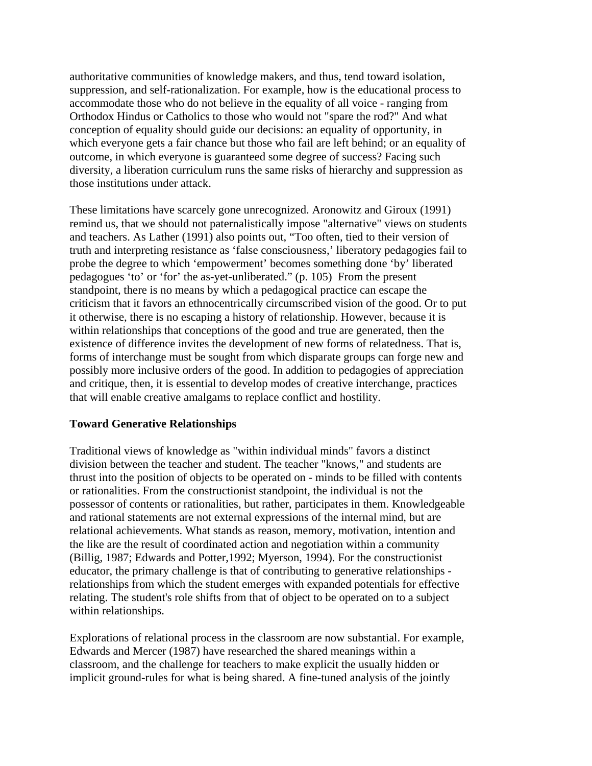authoritative communities of knowledge makers, and thus, tend toward isolation, suppression, and self-rationalization. For example, how is the educational process to accommodate those who do not believe in the equality of all voice - ranging from Orthodox Hindus or Catholics to those who would not "spare the rod?" And what conception of equality should guide our decisions: an equality of opportunity, in which everyone gets a fair chance but those who fail are left behind; or an equality of outcome, in which everyone is guaranteed some degree of success? Facing such diversity, a liberation curriculum runs the same risks of hierarchy and suppression as those institutions under attack.

These limitations have scarcely gone unrecognized. Aronowitz and Giroux (1991) remind us, that we should not paternalistically impose "alternative" views on students and teachers. As Lather (1991) also points out, "Too often, tied to their version of truth and interpreting resistance as 'false consciousness,' liberatory pedagogies fail to probe the degree to which 'empowerment' becomes something done 'by' liberated pedagogues 'to' or 'for' the as-yet-unliberated." (p. 105) From the present standpoint, there is no means by which a pedagogical practice can escape the criticism that it favors an ethnocentrically circumscribed vision of the good. Or to put it otherwise, there is no escaping a history of relationship. However, because it is within relationships that conceptions of the good and true are generated, then the existence of difference invites the development of new forms of relatedness. That is, forms of interchange must be sought from which disparate groups can forge new and possibly more inclusive orders of the good. In addition to pedagogies of appreciation and critique, then, it is essential to develop modes of creative interchange, practices that will enable creative amalgams to replace conflict and hostility.

#### **Toward Generative Relationships**

Traditional views of knowledge as "within individual minds" favors a distinct division between the teacher and student. The teacher "knows," and students are thrust into the position of objects to be operated on - minds to be filled with contents or rationalities. From the constructionist standpoint, the individual is not the possessor of contents or rationalities, but rather, participates in them. Knowledgeable and rational statements are not external expressions of the internal mind, but are relational achievements. What stands as reason, memory, motivation, intention and the like are the result of coordinated action and negotiation within a community (Billig, 1987; Edwards and Potter,1992; Myerson, 1994). For the constructionist educator, the primary challenge is that of contributing to generative relationships relationships from which the student emerges with expanded potentials for effective relating. The student's role shifts from that of object to be operated on to a subject within relationships.

Explorations of relational process in the classroom are now substantial. For example, Edwards and Mercer (1987) have researched the shared meanings within a classroom, and the challenge for teachers to make explicit the usually hidden or implicit ground-rules for what is being shared. A fine-tuned analysis of the jointly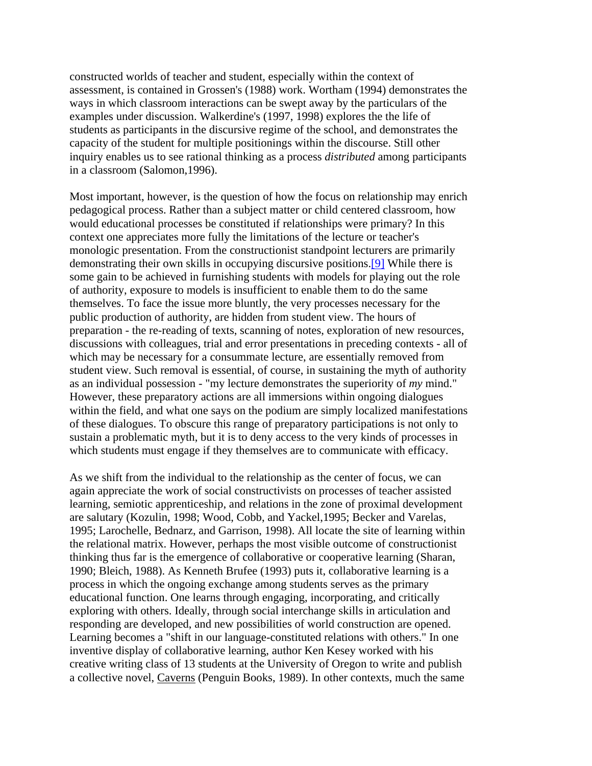constructed worlds of teacher and student, especially within the context of assessment, is contained in Grossen's (1988) work. Wortham (1994) demonstrates the ways in which classroom interactions can be swept away by the particulars of the examples under discussion. Walkerdine's (1997, 1998) explores the the life of students as participants in the discursive regime of the school, and demonstrates the capacity of the student for multiple positionings within the discourse. Still other inquiry enables us to see rational thinking as a process *distributed* among participants in a classroom (Salomon,1996).

Most important, however, is the question of how the focus on relationship may enrich pedagogical process. Rather than a subject matter or child centered classroom, how would educational processes be constituted if relationships were primary? In this context one appreciates more fully the limitations of the lecture or teacher's monologic presentation. From the constructionist standpoint lecturers are primarily demonstrating their own skills in occupying discursive positions.[9] While there is some gain to be achieved in furnishing students with models for playing out the role of authority, exposure to models is insufficient to enable them to do the same themselves. To face the issue more bluntly, the very processes necessary for the public production of authority, are hidden from student view. The hours of preparation - the re-reading of texts, scanning of notes, exploration of new resources, discussions with colleagues, trial and error presentations in preceding contexts - all of which may be necessary for a consummate lecture, are essentially removed from student view. Such removal is essential, of course, in sustaining the myth of authority as an individual possession - "my lecture demonstrates the superiority of *my* mind." However, these preparatory actions are all immersions within ongoing dialogues within the field, and what one says on the podium are simply localized manifestations of these dialogues. To obscure this range of preparatory participations is not only to sustain a problematic myth, but it is to deny access to the very kinds of processes in which students must engage if they themselves are to communicate with efficacy.

As we shift from the individual to the relationship as the center of focus, we can again appreciate the work of social constructivists on processes of teacher assisted learning, semiotic apprenticeship, and relations in the zone of proximal development are salutary (Kozulin, 1998; Wood, Cobb, and Yackel,1995; Becker and Varelas, 1995; Larochelle, Bednarz, and Garrison, 1998). All locate the site of learning within the relational matrix. However, perhaps the most visible outcome of constructionist thinking thus far is the emergence of collaborative or cooperative learning (Sharan, 1990; Bleich, 1988). As Kenneth Brufee (1993) puts it, collaborative learning is a process in which the ongoing exchange among students serves as the primary educational function. One learns through engaging, incorporating, and critically exploring with others. Ideally, through social interchange skills in articulation and responding are developed, and new possibilities of world construction are opened. Learning becomes a "shift in our language-constituted relations with others." In one inventive display of collaborative learning, author Ken Kesey worked with his creative writing class of 13 students at the University of Oregon to write and publish a collective novel, Caverns (Penguin Books, 1989). In other contexts, much the same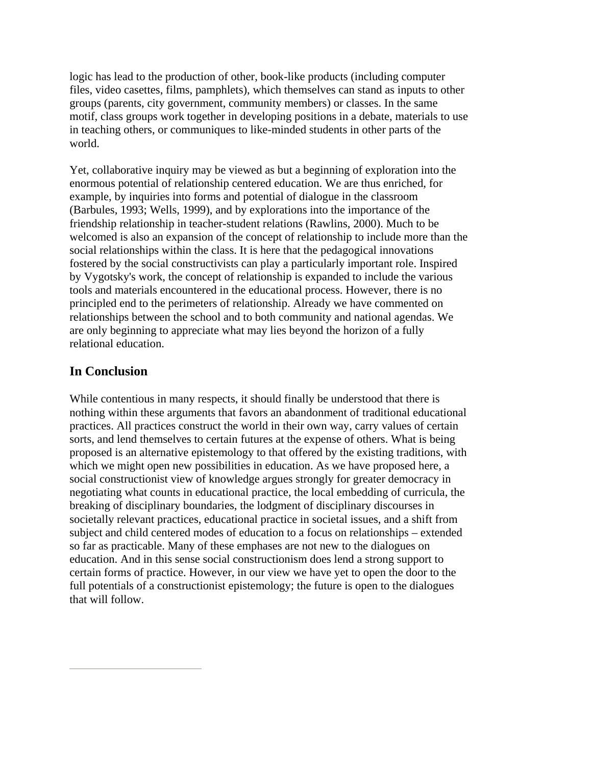logic has lead to the production of other, book-like products (including computer files, video casettes, films, pamphlets), which themselves can stand as inputs to other groups (parents, city government, community members) or classes. In the same motif, class groups work together in developing positions in a debate, materials to use in teaching others, or communiques to like-minded students in other parts of the world.

Yet, collaborative inquiry may be viewed as but a beginning of exploration into the enormous potential of relationship centered education. We are thus enriched, for example, by inquiries into forms and potential of dialogue in the classroom (Barbules, 1993; Wells, 1999), and by explorations into the importance of the friendship relationship in teacher-student relations (Rawlins, 2000). Much to be welcomed is also an expansion of the concept of relationship to include more than the social relationships within the class. It is here that the pedagogical innovations fostered by the social constructivists can play a particularly important role. Inspired by Vygotsky's work, the concept of relationship is expanded to include the various tools and materials encountered in the educational process. However, there is no principled end to the perimeters of relationship. Already we have commented on relationships between the school and to both community and national agendas. We are only beginning to appreciate what may lies beyond the horizon of a fully relational education.

## **In Conclusion**

While contentious in many respects, it should finally be understood that there is nothing within these arguments that favors an abandonment of traditional educational practices. All practices construct the world in their own way, carry values of certain sorts, and lend themselves to certain futures at the expense of others. What is being proposed is an alternative epistemology to that offered by the existing traditions, with which we might open new possibilities in education. As we have proposed here, a social constructionist view of knowledge argues strongly for greater democracy in negotiating what counts in educational practice, the local embedding of curricula, the breaking of disciplinary boundaries, the lodgment of disciplinary discourses in societally relevant practices, educational practice in societal issues, and a shift from subject and child centered modes of education to a focus on relationships – extended so far as practicable. Many of these emphases are not new to the dialogues on education. And in this sense social constructionism does lend a strong support to certain forms of practice. However, in our view we have yet to open the door to the full potentials of a constructionist epistemology; the future is open to the dialogues that will follow.